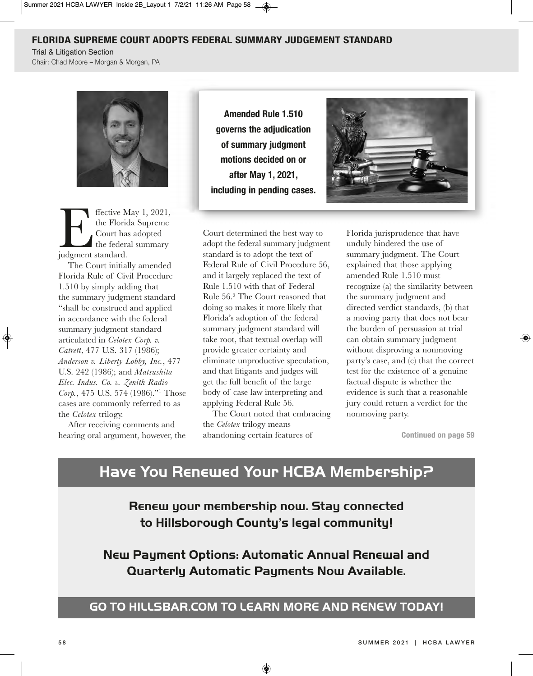#### **fLoriDa SuPreMe court aDoPtS feDeraL SuMMary JuDgeMent StanDarD**

**Trial & Litigation Section** 

Chair: Chad Moore - Morgan & Morgan, PA



Flective May 1, 2021,<br>the Florida Supreme<br>Court has adopted<br>the federal summary<br>judgment standard. the Florida Supreme Court has adopted the federal summary judgment standard.

The Court initially amended Florida Rule of Civil Procedure 1.510 by simply adding that the summary judgment standard "shall be construed and applied in accordance with the federal summary judgment standard articulated in *Celotex Corp. v. Catrett*, 477 U.S. 317 (1986); *Anderson v. Liberty Lobby, Inc.*, 477 U.S. 242 (1986); and *Matsushita Elec. Indus. Co. v. Zenith Radio Corp.*, 475 U.S. 574 (1986)."1 Those cases are commonly referred to as the *Celotex* trilogy.

After receiving comments and hearing oral argument, however, the

**Amended Rule 1.510 governs the adjudication of summary judgment motions decided on or after May 1, 2021, including in pending cases.**



Court determined the best way to adopt the federal summary judgment standard is to adopt the text of Federal Rule of Civil Procedure 56, and it largely replaced the text of Rule 1.510 with that of Federal Rule 56.2 The Court reasoned that doing so makes it more likely that Florida's adoption of the federal summary judgment standard will take root, that textual overlap will provide greater certainty and eliminate unproductive speculation, and that litigants and judges will get the full benefit of the large body of case law interpreting and applying Federal Rule 56.

The Court noted that embracing the *Celotex* trilogy means abandoning certain features of

Florida jurisprudence that have unduly hindered the use of summary judgment. The Court explained that those applying amended Rule 1.510 must recognize (a) the similarity between the summary judgment and directed verdict standards, (b) that a moving party that does not bear the burden of persuasion at trial can obtain summary judgment without disproving a nonmoving party's case, and (c) that the correct test for the existence of a genuine factual dispute is whether the evidence is such that a reasonable jury could return a verdict for the nonmoving party.

**continued on page 59**

## **Have You Renewed Your HCBA Membership?**

**Renew your membership now. Stay connected to Hillsborough County's legal community!**

**new Payment options: Automatic Annual Renewal and Quarterly Automatic Payments now Available.** 

## **Go to HILLSBAR.CoM to LeARn MoRe AnD ReneW toDAY!**